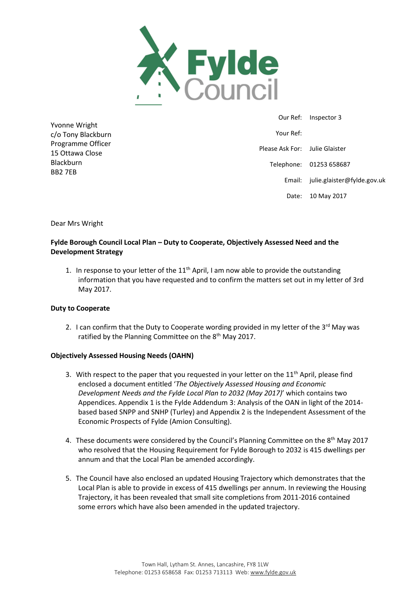

Yvonne Wright c/o Tony Blackburn Programme Officer 15 Ottawa Close Blackburn BB2 7EB

 Our Ref: Inspector 3 Your Ref: Please Ask For: Julie Glaister Telephone: 01253 658687 Email: julie.glaister@fylde.gov.uk Date: 10 May 2017

Dear Mrs Wright

# **Fylde Borough Council Local Plan – Duty to Cooperate, Objectively Assessed Need and the Development Strategy**

1. In response to your letter of the  $11<sup>th</sup>$  April, I am now able to provide the outstanding information that you have requested and to confirm the matters set out in my letter of 3rd May 2017.

#### **Duty to Cooperate**

2. I can confirm that the Duty to Cooperate wording provided in my letter of the  $3<sup>rd</sup>$  May was ratified by the Planning Committee on the 8<sup>th</sup> May 2017.

#### **Objectively Assessed Housing Needs (OAHN)**

- 3. With respect to the paper that you requested in your letter on the  $11<sup>th</sup>$  April, please find enclosed a document entitled '*The Objectively Assessed Housing and Economic Development Needs and the Fylde Local Plan to 2032 (May 2017)*' which contains two Appendices. Appendix 1 is the Fylde Addendum 3: Analysis of the OAN in light of the 2014 based based SNPP and SNHP (Turley) and Appendix 2 is the Independent Assessment of the Economic Prospects of Fylde (Amion Consulting).
- 4. These documents were considered by the Council's Planning Committee on the  $8<sup>th</sup>$  May 2017 who resolved that the Housing Requirement for Fylde Borough to 2032 is 415 dwellings per annum and that the Local Plan be amended accordingly.
- 5. The Council have also enclosed an updated Housing Trajectory which demonstrates that the Local Plan is able to provide in excess of 415 dwellings per annum. In reviewing the Housing Trajectory, it has been revealed that small site completions from 2011-2016 contained some errors which have also been amended in the updated trajectory.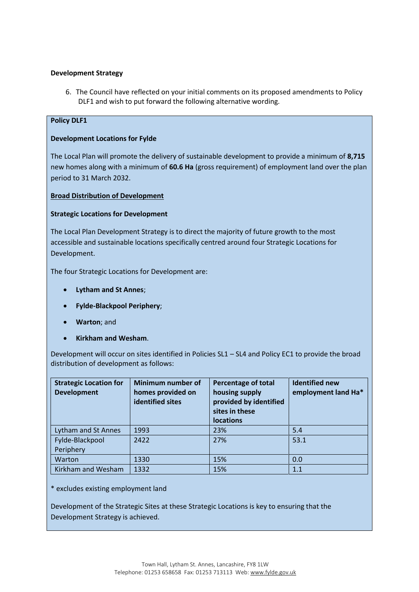### **Development Strategy**

6. The Council have reflected on your initial comments on its proposed amendments to Policy DLF1 and wish to put forward the following alternative wording.

#### **Policy DLF1**

#### **Development Locations for Fylde**

The Local Plan will promote the delivery of sustainable development to provide a minimum of **8,715**  new homes along with a minimum of **60.6 Ha** (gross requirement) of employment land over the plan period to 31 March 2032.

### **Broad Distribution of Development**

### **Strategic Locations for Development**

The Local Plan Development Strategy is to direct the majority of future growth to the most accessible and sustainable locations specifically centred around four Strategic Locations for Development.

The four Strategic Locations for Development are:

- **Lytham and St Annes**;
- **Fylde-Blackpool Periphery**;
- **Warton**; and
- **Kirkham and Wesham**.

Development will occur on sites identified in Policies SL1 – SL4 and Policy EC1 to provide the broad distribution of development as follows:

| <b>Strategic Location for</b><br><b>Development</b> | Minimum number of<br>homes provided on<br>identified sites | <b>Percentage of total</b><br>housing supply<br>provided by identified<br>sites in these<br><b>locations</b> | <b>Identified new</b><br>employment land Ha* |
|-----------------------------------------------------|------------------------------------------------------------|--------------------------------------------------------------------------------------------------------------|----------------------------------------------|
| Lytham and St Annes                                 | 1993                                                       | 23%                                                                                                          | 5.4                                          |
| Fylde-Blackpool<br>Periphery                        | 2422                                                       | 27%                                                                                                          | 53.1                                         |
| Warton                                              | 1330                                                       | 15%                                                                                                          | 0.0                                          |
| Kirkham and Wesham                                  | 1332                                                       | 15%                                                                                                          | 1.1                                          |

\* excludes existing employment land

Development of the Strategic Sites at these Strategic Locations is key to ensuring that the Development Strategy is achieved.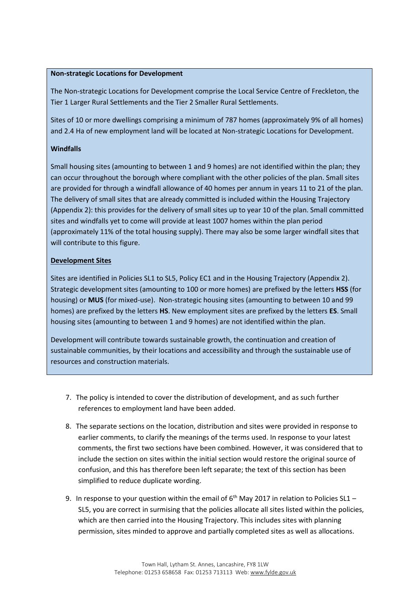## **Non-strategic Locations for Development**

The Non-strategic Locations for Development comprise the Local Service Centre of Freckleton, the Tier 1 Larger Rural Settlements and the Tier 2 Smaller Rural Settlements.

Sites of 10 or more dwellings comprising a minimum of 787 homes (approximately 9% of all homes) and 2.4 Ha of new employment land will be located at Non-strategic Locations for Development.

#### **Windfalls**

Small housing sites (amounting to between 1 and 9 homes) are not identified within the plan; they can occur throughout the borough where compliant with the other policies of the plan. Small sites are provided for through a windfall allowance of 40 homes per annum in years 11 to 21 of the plan. The delivery of small sites that are already committed is included within the Housing Trajectory (Appendix 2): this provides for the delivery of small sites up to year 10 of the plan. Small committed sites and windfalls yet to come will provide at least 1007 homes within the plan period (approximately 11% of the total housing supply). There may also be some larger windfall sites that will contribute to this figure.

### **Development Sites**

Sites are identified in Policies SL1 to SL5, Policy EC1 and in the Housing Trajectory (Appendix 2). Strategic development sites (amounting to 100 or more homes) are prefixed by the letters **HSS** (for housing) or **MUS** (for mixed-use). Non-strategic housing sites (amounting to between 10 and 99 homes) are prefixed by the letters **HS**. New employment sites are prefixed by the letters **ES**. Small housing sites (amounting to between 1 and 9 homes) are not identified within the plan.

Development will contribute towards sustainable growth, the continuation and creation of sustainable communities, by their locations and accessibility and through the sustainable use of resources and construction materials.

- 7. The policy is intended to cover the distribution of development, and as such further references to employment land have been added.
- 8. The separate sections on the location, distribution and sites were provided in response to earlier comments, to clarify the meanings of the terms used. In response to your latest comments, the first two sections have been combined. However, it was considered that to include the section on sites within the initial section would restore the original source of confusion, and this has therefore been left separate; the text of this section has been simplified to reduce duplicate wording.
- 9. In response to your question within the email of  $6<sup>th</sup>$  May 2017 in relation to Policies SL1 SL5, you are correct in surmising that the policies allocate all sites listed within the policies, which are then carried into the Housing Trajectory. This includes sites with planning permission, sites minded to approve and partially completed sites as well as allocations.